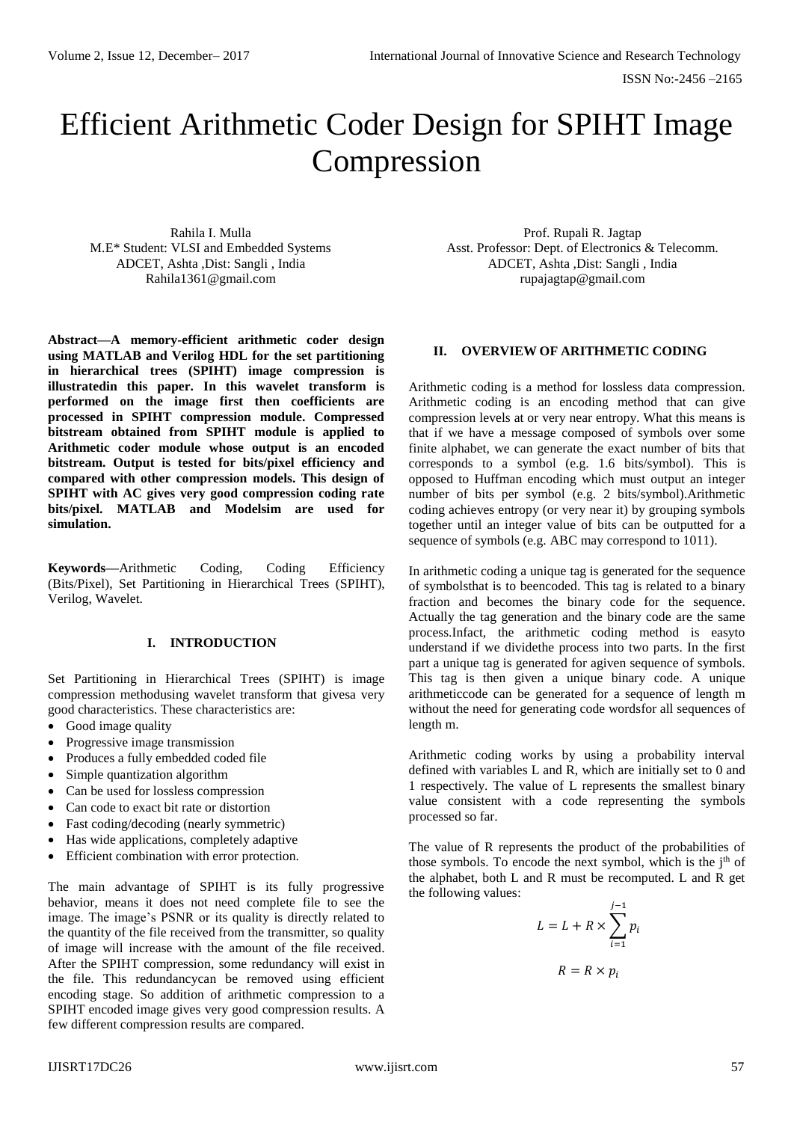# Efficient Arithmetic Coder Design for SPIHT Image Compression

Rahila I. Mulla M.E\* Student: VLSI and Embedded Systems ADCET, Ashta ,Dist: Sangli , India Rahila1361@gmail.com

**Abstract—A memory-efficient arithmetic coder design using MATLAB and Verilog HDL for the set partitioning in hierarchical trees (SPIHT) image compression is illustratedin this paper. In this wavelet transform is performed on the image first then coefficients are processed in SPIHT compression module. Compressed bitstream obtained from SPIHT module is applied to Arithmetic coder module whose output is an encoded bitstream. Output is tested for bits/pixel efficiency and compared with other compression models. This design of SPIHT with AC gives very good compression coding rate bits/pixel. MATLAB and Modelsim are used for simulation.**

**Keywords—**Arithmetic Coding, Coding Efficiency (Bits/Pixel), Set Partitioning in Hierarchical Trees (SPIHT), Verilog, Wavelet.

#### **I. INTRODUCTION**

Set Partitioning in Hierarchical Trees (SPIHT) is image compression methodusing wavelet transform that givesa very good characteristics. These characteristics are:

- Good image quality
- Progressive image transmission
- Produces a fully embedded coded file
- Simple quantization algorithm
- Can be used for lossless compression
- Can code to exact bit rate or distortion
- Fast coding/decoding (nearly symmetric)
- Has wide applications, completely adaptive
- Efficient combination with error protection.

The main advantage of SPIHT is its fully progressive behavior, means it does not need complete file to see the image. The image's PSNR or its quality is directly related to the quantity of the file received from the transmitter, so quality of image will increase with the amount of the file received. After the SPIHT compression, some redundancy will exist in the file. This redundancycan be removed using efficient encoding stage. So addition of arithmetic compression to a SPIHT encoded image gives very good compression results. A few different compression results are compared.

Prof. Rupali R. Jagtap Asst. Professor: Dept. of Electronics & Telecomm. ADCET, Ashta ,Dist: Sangli , India rupajagtap@gmail.com

#### **II. OVERVIEW OF ARITHMETIC CODING**

Arithmetic coding is a method for lossless data compression. Arithmetic coding is an encoding method that can give compression levels at or very near entropy. What this means is that if we have a message composed of symbols over some finite alphabet, we can generate the exact number of bits that corresponds to a symbol (e.g. 1.6 bits/symbol). This is opposed to Huffman encoding which must output an integer number of bits per symbol (e.g. 2 bits/symbol).Arithmetic coding achieves entropy (or very near it) by grouping symbols together until an integer value of bits can be outputted for a sequence of symbols (e.g. ABC may correspond to 1011).

In arithmetic coding a unique tag is generated for the sequence of symbolsthat is to beencoded. This tag is related to a binary fraction and becomes the binary code for the sequence. Actually the tag generation and the binary code are the same process.Infact, the arithmetic coding method is easyto understand if we dividethe process into two parts. In the first part a unique tag is generated for agiven sequence of symbols. This tag is then given a unique binary code. A unique arithmeticcode can be generated for a sequence of length m without the need for generating code wordsfor all sequences of length m.

Arithmetic coding works by using a probability interval defined with variables L and R, which are initially set to 0 and 1 respectively. The value of L represents the smallest binary value consistent with a code representing the symbols processed so far.

The value of R represents the product of the probabilities of those symbols. To encode the next symbol, which is the  $j<sup>th</sup>$  of the alphabet, both L and R must be recomputed. L and R get the following values:

$$
L = L + R \times \sum_{i=1}^{j-1} p_i
$$

$$
R = R \times p_i
$$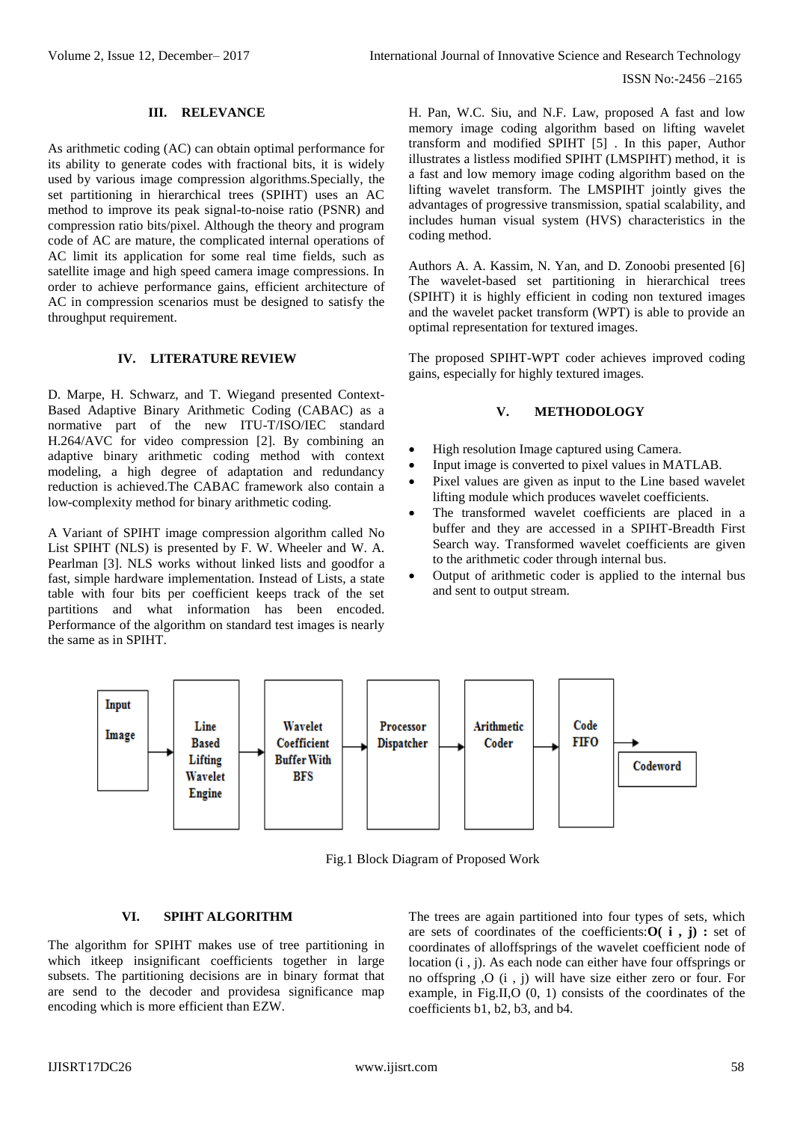#### **III. RELEVANCE**

As arithmetic coding (AC) can obtain optimal performance for its ability to generate codes with fractional bits, it is widely used by various image compression algorithms.Specially, the set partitioning in hierarchical trees (SPIHT) uses an AC method to improve its peak signal-to-noise ratio (PSNR) and compression ratio bits/pixel. Although the theory and program code of AC are mature, the complicated internal operations of AC limit its application for some real time fields, such as satellite image and high speed camera image compressions. In order to achieve performance gains, efficient architecture of AC in compression scenarios must be designed to satisfy the throughput requirement.

#### **IV. LITERATURE REVIEW**

D. Marpe, H. Schwarz, and T. Wiegand presented Context-Based Adaptive Binary Arithmetic Coding (CABAC) as a normative part of the new ITU-T/ISO/IEC standard H.264/AVC for video compression [2]. By combining an adaptive binary arithmetic coding method with context modeling, a high degree of adaptation and redundancy reduction is achieved.The CABAC framework also contain a low-complexity method for binary arithmetic coding.

A Variant of SPIHT image compression algorithm called No List SPIHT (NLS) is presented by F. W. Wheeler and W. A. Pearlman [3]. NLS works without linked lists and goodfor a fast, simple hardware implementation. Instead of Lists, a state table with four bits per coefficient keeps track of the set partitions and what information has been encoded. Performance of the algorithm on standard test images is nearly the same as in SPIHT.

H. Pan, W.C. Siu, and N.F. Law, proposed A fast and low memory image coding algorithm based on lifting wavelet transform and modified SPIHT [5] . In this paper, Author illustrates a listless modified SPIHT (LMSPIHT) method, it is a fast and low memory image coding algorithm based on the lifting wavelet transform. The LMSPIHT jointly gives the advantages of progressive transmission, spatial scalability, and includes human visual system (HVS) characteristics in the coding method.

Authors A. A. Kassim, N. Yan, and D. Zonoobi presented [6] The wavelet-based set partitioning in hierarchical trees (SPIHT) it is highly efficient in coding non textured images and the wavelet packet transform (WPT) is able to provide an optimal representation for textured images.

The proposed SPIHT-WPT coder achieves improved coding gains, especially for highly textured images.

#### **V. METHODOLOGY**

- High resolution Image captured using Camera.
- Input image is converted to pixel values in MATLAB.
- Pixel values are given as input to the Line based wavelet lifting module which produces wavelet coefficients.
- The transformed wavelet coefficients are placed in a buffer and they are accessed in a SPIHT-Breadth First Search way. Transformed wavelet coefficients are given to the arithmetic coder through internal bus.
- Output of arithmetic coder is applied to the internal bus and sent to output stream.



Fig.1 Block Diagram of Proposed Work

#### **VI. SPIHT ALGORITHM**

The algorithm for SPIHT makes use of tree partitioning in which itkeep insignificant coefficients together in large subsets. The partitioning decisions are in binary format that are send to the decoder and providesa significance map encoding which is more efficient than EZW.

The trees are again partitioned into four types of sets, which are sets of coordinates of the coefficients:**O( i , j) :** set of coordinates of alloffsprings of the wavelet coefficient node of location (i , j). As each node can either have four offsprings or no offspring ,O (i , j) will have size either zero or four. For example, in Fig.II,O (0, 1) consists of the coordinates of the coefficients b1, b2, b3, and b4.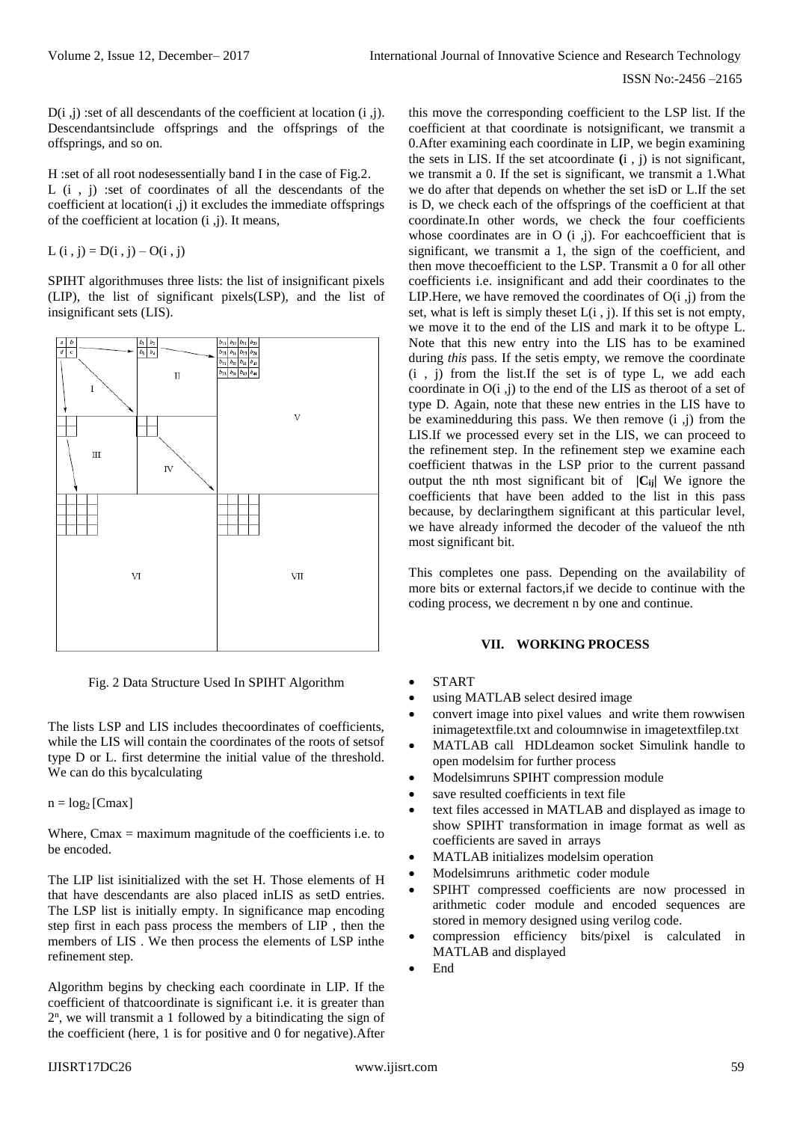D(i ,j) :set of all descendants of the coefficient at location (i ,j). Descendantsinclude offsprings and the offsprings of the offsprings, and so on.

H :set of all root nodesessentially band I in the case of Fig.2. L (i , j) :set of coordinates of all the descendants of the coefficient at location $(i, j)$  it excludes the immediate offsprings of the coefficient at location (i ,j). It means,

L (i, j) =  $D(i, j) - O(i, j)$ 

SPIHT algorithmuses three lists: the list of insignificant pixels (LIP), the list of significant pixels(LSP), and the list of insignificant sets (LIS).



Fig. 2 Data Structure Used In SPIHT Algorithm

The lists LSP and LIS includes thecoordinates of coefficients, while the LIS will contain the coordinates of the roots of setsof type D or L. first determine the initial value of the threshold. We can do this bycalculating

 $n = log_2 [Cmax]$ 

Where, Cmax = maximum magnitude of the coefficients i.e. to be encoded.

The LIP list isinitialized with the set H. Those elements of H that have descendants are also placed inLIS as setD entries. The LSP list is initially empty. In significance map encoding step first in each pass process the members of LIP , then the members of LIS . We then process the elements of LSP inthe refinement step.

Algorithm begins by checking each coordinate in LIP. If the coefficient of thatcoordinate is significant i.e. it is greater than 2 n , we will transmit a 1 followed by a bitindicating the sign of the coefficient (here, 1 is for positive and 0 for negative).After

this move the corresponding coefficient to the LSP list. If the coefficient at that coordinate is notsignificant, we transmit a 0.After examining each coordinate in LIP, we begin examining the sets in LIS. If the set atcoordinate **(**i , j) is not significant, we transmit a 0. If the set is significant, we transmit a 1.What we do after that depends on whether the set isD or L.If the set is D, we check each of the offsprings of the coefficient at that coordinate.In other words, we check the four coefficients whose coordinates are in  $O(i, j)$ . For each coefficient that is significant, we transmit a 1, the sign of the coefficient, and then move thecoefficient to the LSP. Transmit a 0 for all other coefficients i.e. insignificant and add their coordinates to the LIP. Here, we have removed the coordinates of  $O(i, j)$  from the set, what is left is simply the set  $L(i, j)$ . If this set is not empty, we move it to the end of the LIS and mark it to be oftype L. Note that this new entry into the LIS has to be examined during *this* pass. If the setis empty, we remove the coordinate (i , j) from the list.If the set is of type L, we add each coordinate in O(i ,j) to the end of the LIS as theroot of a set of type D. Again, note that these new entries in the LIS have to be examinedduring this pass. We then remove (i ,j) from the LIS.If we processed every set in the LIS, we can proceed to the refinement step. In the refinement step we examine each coefficient thatwas in the LSP prior to the current passand output the nth most significant bit of **|Cij|** We ignore the coefficients that have been added to the list in this pass because, by declaringthem significant at this particular level, we have already informed the decoder of the valueof the nth most significant bit.

This completes one pass. Depending on the availability of more bits or external factors,if we decide to continue with the coding process, we decrement n by one and continue.

### **VII. WORKING PROCESS**

- **START**
- using MATLAB select desired image
- convert image into pixel values and write them rowwisen inimagetextfile.txt and coloumnwise in imagetextfilep.txt
- MATLAB call HDLdeamon socket Simulink handle to open modelsim for further process
- Modelsimruns SPIHT compression module
- save resulted coefficients in text file
- text files accessed in MATLAB and displayed as image to show SPIHT transformation in image format as well as coefficients are saved in arrays
- MATLAB initializes modelsim operation
- Modelsimruns arithmetic coder module
- SPIHT compressed coefficients are now processed in arithmetic coder module and encoded sequences are stored in memory designed using verilog code.
- compression efficiency bits/pixel is calculated in MATLAB and displayed
- End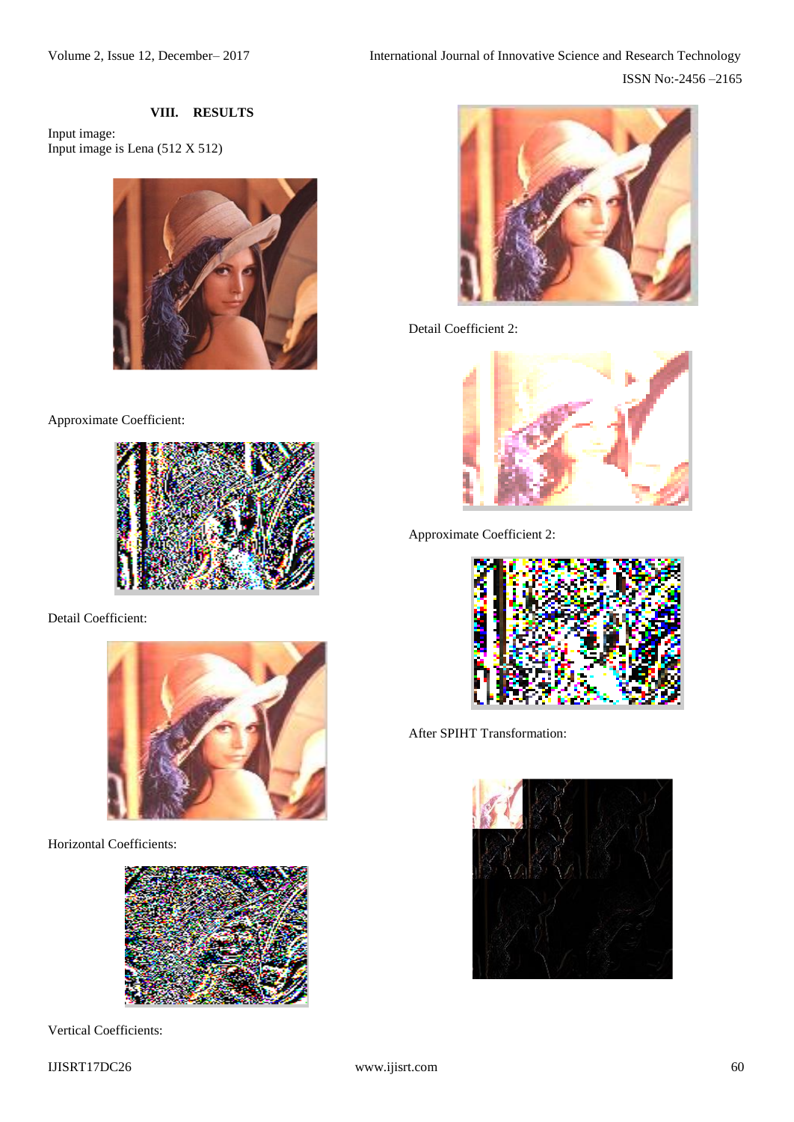## **VIII. RESULTS**

Input image: Input image is Lena (512 X 512)



Approximate Coefficient:



Detail Coefficient:



Horizontal Coefficients:



Vertical Coefficients:



Detail Coefficient 2:



Approximate Coefficient 2:



After SPIHT Transformation: